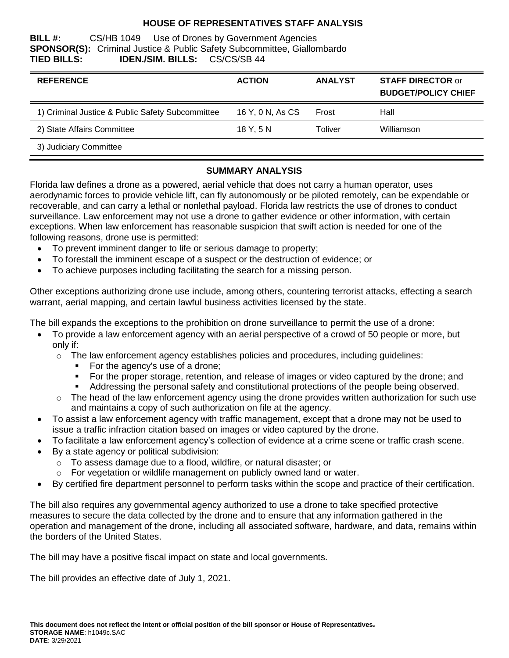## **HOUSE OF REPRESENTATIVES STAFF ANALYSIS**

#### **BILL #:** CS/HB 1049 Use of Drones by Government Agencies **SPONSOR(S):** Criminal Justice & Public Safety Subcommittee, Giallombardo **TIED BILLS: IDEN./SIM. BILLS:** CS/CS/SB 44

| <b>REFERENCE</b>                                 | <b>ACTION</b>    | <b>ANALYST</b> | <b>STAFF DIRECTOR or</b><br><b>BUDGET/POLICY CHIEF</b> |
|--------------------------------------------------|------------------|----------------|--------------------------------------------------------|
| 1) Criminal Justice & Public Safety Subcommittee | 16 Y, 0 N, As CS | Frost          | Hall                                                   |
| 2) State Affairs Committee                       | 18 Y.5 N         | Toliver        | Williamson                                             |
| 3) Judiciary Committee                           |                  |                |                                                        |

### **SUMMARY ANALYSIS**

Florida law defines a drone as a powered, aerial vehicle that does not carry a human operator, uses aerodynamic forces to provide vehicle lift, can fly autonomously or be piloted remotely, can be expendable or recoverable, and can carry a lethal or nonlethal payload. Florida law restricts the use of drones to conduct surveillance. Law enforcement may not use a drone to gather evidence or other information, with certain exceptions. When law enforcement has reasonable suspicion that swift action is needed for one of the following reasons, drone use is permitted:

- To prevent imminent danger to life or serious damage to property;
- To forestall the imminent escape of a suspect or the destruction of evidence; or
- To achieve purposes including facilitating the search for a missing person.

Other exceptions authorizing drone use include, among others, countering terrorist attacks, effecting a search warrant, aerial mapping, and certain lawful business activities licensed by the state.

The bill expands the exceptions to the prohibition on drone surveillance to permit the use of a drone:

- To provide a law enforcement agency with an aerial perspective of a crowd of 50 people or more, but only if:
	- $\circ$  The law enforcement agency establishes policies and procedures, including quidelines:
		- For the agency's use of a drone;
		- For the proper storage, retention, and release of images or video captured by the drone; and
		- Addressing the personal safety and constitutional protections of the people being observed.
	- $\circ$  The head of the law enforcement agency using the drone provides written authorization for such use and maintains a copy of such authorization on file at the agency.
- To assist a law enforcement agency with traffic management, except that a drone may not be used to issue a traffic infraction citation based on images or video captured by the drone.
- To facilitate a law enforcement agency's collection of evidence at a crime scene or traffic crash scene.
- By a state agency or political subdivision:
	- o To assess damage due to a flood, wildfire, or natural disaster; or
	- o For vegetation or wildlife management on publicly owned land or water.
- By certified fire department personnel to perform tasks within the scope and practice of their certification.

The bill also requires any governmental agency authorized to use a drone to take specified protective measures to secure the data collected by the drone and to ensure that any information gathered in the operation and management of the drone, including all associated software, hardware, and data, remains within the borders of the United States.

The bill may have a positive fiscal impact on state and local governments.

The bill provides an effective date of July 1, 2021.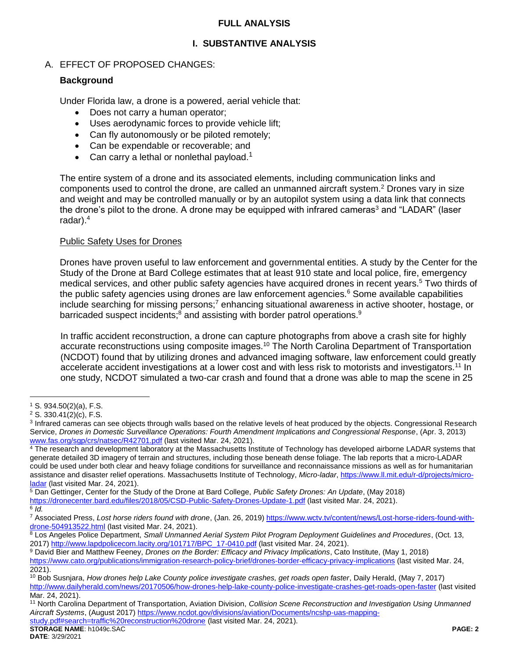### **FULL ANALYSIS**

## **I. SUBSTANTIVE ANALYSIS**

## A. EFFECT OF PROPOSED CHANGES:

### **Background**

Under Florida law, a drone is a powered, aerial vehicle that:

- Does not carry a human operator;
- Uses aerodynamic forces to provide vehicle lift;
- Can fly autonomously or be piloted remotely;
- Can be expendable or recoverable; and
- Can carry a lethal or nonlethal payload.<sup>1</sup>

The entire system of a drone and its associated elements, including communication links and components used to control the drone, are called an unmanned aircraft system.<sup>2</sup> Drones vary in size and weight and may be controlled manually or by an autopilot system using a data link that connects the drone's pilot to the drone. A drone may be equipped with infrared cameras<sup>3</sup> and "LADAR" (laser radar).<sup>4</sup>

#### Public Safety Uses for Drones

Drones have proven useful to law enforcement and governmental entities. A study by the Center for the Study of the Drone at Bard College estimates that at least 910 state and local police, fire, emergency medical services, and other public safety agencies have acquired drones in recent years.<sup>5</sup> Two thirds of the public safety agencies using drones are law enforcement agencies.<sup>6</sup> Some available capabilities include searching for missing persons;<sup>7</sup> enhancing situational awareness in active shooter, hostage, or barricaded suspect incidents;<sup>8</sup> and assisting with border patrol operations.<sup>9</sup>

In traffic accident reconstruction, a drone can capture photographs from above a crash site for highly accurate reconstructions using composite images.<sup>10</sup> The North Carolina Department of Transportation (NCDOT) found that by utilizing drones and advanced imaging software, law enforcement could greatly accelerate accident investigations at a lower cost and with less risk to motorists and investigators.<sup>11</sup> In one study, NCDOT simulated a two-car crash and found that a drone was able to map the scene in 25

 $\overline{a}$ 

**STORAGE NAME**: h1049c.SAC **PAGE: 2** [study.pdf#search=traffic%20reconstruction%20drone](https://www.ncdot.gov/divisions/aviation/Documents/ncshp-uas-mapping-study.pdf#search=traffic%20reconstruction%20drone) (last visited Mar. 24, 2021).

<sup>1</sup> S. 934.50(2)(a), F.S.

<sup>2</sup> S. 330.41(2)(c), F.S.

<sup>&</sup>lt;sup>3</sup> Infrared cameras can see objects through walls based on the relative levels of heat produced by the objects. Congressional Research Service, *Drones in Domestic Surveillance Operations: Fourth Amendment Implications and Congressional Response*, (Apr. 3, 2013) [www.fas.org/sgp/crs/natsec/R42701.pdf](http://www.fas.org/sgp/crs/natsec/R42701.pdf) (last visited Mar. 24, 2021).

<sup>&</sup>lt;sup>4</sup> The research and development laboratory at the Massachusetts Institute of Technology has developed airborne LADAR systems that generate detailed 3D imagery of terrain and structures, including those beneath dense foliage. The lab reports that a micro-LADAR could be used under both clear and heavy foliage conditions for surveillance and reconnaissance missions as well as for humanitarian assistance and disaster relief operations. Massachusetts Institute of Technology, *Micro-ladar*[, https://www.ll.mit.edu/r-d/projects/micro](https://www.ll.mit.edu/r-d/projects/micro-ladar)[ladar](https://www.ll.mit.edu/r-d/projects/micro-ladar) (last visited Mar. 24, 2021).

<sup>5</sup> Dan Gettinger, Center for the Study of the Drone at Bard College, *Public Safety Drones: An Update*, (May 2018) <https://dronecenter.bard.edu/files/2018/05/CSD-Public-Safety-Drones-Update-1.pdf> (last visited Mar. 24, 2021). 6 *Id.*

<sup>&</sup>lt;sup>7</sup> Associated Press, Lost horse riders found with drone, (Jan. 26, 2019[\) https://www.wctv.tv/content/news/Lost-horse-riders-found-with](https://www.wctv.tv/content/news/Lost-horse-riders-found-with-drone-504913522.html)[drone-504913522.html](https://www.wctv.tv/content/news/Lost-horse-riders-found-with-drone-504913522.html) (last visited Mar. 24, 2021).

<sup>8</sup> Los Angeles Police Department, *Small Unmanned Aerial System Pilot Program Deployment Guidelines and Procedures*, (Oct. 13, 2017[\) http://www.lapdpolicecom.lacity.org/101717/BPC\\_17-0410.pdf](http://www.lapdpolicecom.lacity.org/101717/BPC_17-0410.pdf) (last visited Mar. 24, 2021).

<sup>9</sup> David Bier and Matthew Feeney, *Drones on the Border: Efficacy and Privacy Implications*, Cato Institute, (May 1, 2018) <https://www.cato.org/publications/immigration-research-policy-brief/drones-border-efficacy-privacy-implications> (last visited Mar. 24,

<sup>2021).</sup> 

<sup>10</sup> Bob Susnjara, *How drones help Lake County police investigate crashes, get roads open faster*, Daily Herald, (May 7, 2017) <http://www.dailyherald.com/news/20170506/how-drones-help-lake-county-police-investigate-crashes-get-roads-open-faster> (last visited Mar. 24, 2021).

<sup>11</sup> North Carolina Department of Transportation, Aviation Division, *Collision Scene Reconstruction and Investigation Using Unmanned Aircraft Systems*, (August 2017[\) https://www.ncdot.gov/divisions/aviation/Documents/ncshp-uas-mapping-](https://www.ncdot.gov/divisions/aviation/Documents/ncshp-uas-mapping-study.pdf#search=traffic%20reconstruction%20drone)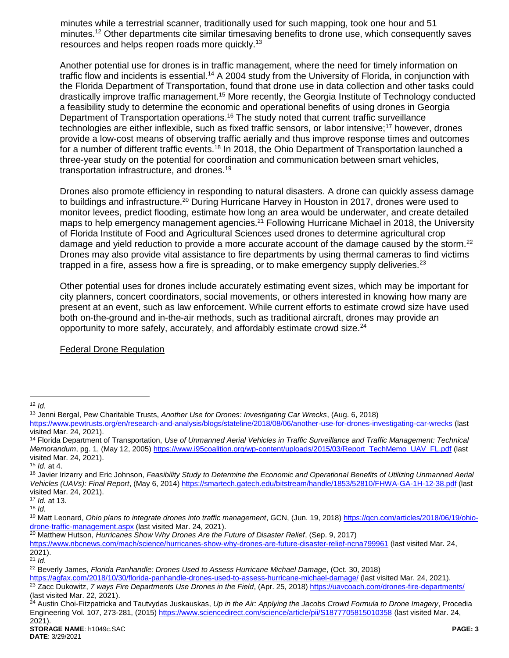minutes while a terrestrial scanner, traditionally used for such mapping, took one hour and 51 minutes.<sup>12</sup> Other departments cite similar timesaving benefits to drone use, which consequently saves resources and helps reopen roads more quickly.<sup>13</sup>

Another potential use for drones is in traffic management, where the need for timely information on traffic flow and incidents is essential.<sup>14</sup> A 2004 study from the University of Florida, in conjunction with the Florida Department of Transportation, found that drone use in data collection and other tasks could drastically improve traffic management.<sup>15</sup> More recently, the Georgia Institute of Technology conducted a feasibility study to determine the economic and operational benefits of using drones in Georgia Department of Transportation operations.<sup>16</sup> The study noted that current traffic surveillance technologies are either inflexible, such as fixed traffic sensors, or labor intensive;<sup>17</sup> however, drones provide a low-cost means of observing traffic aerially and thus improve response times and outcomes for a number of different traffic events.<sup>18</sup> In 2018, the Ohio Department of Transportation launched a three-year study on the potential for coordination and communication between smart vehicles, transportation infrastructure, and drones.<sup>19</sup>

Drones also promote efficiency in responding to natural disasters. A drone can quickly assess damage to buildings and infrastructure.<sup>20</sup> During Hurricane Harvey in Houston in 2017, drones were used to monitor levees, predict flooding, estimate how long an area would be underwater, and create detailed maps to help emergency management agencies.<sup>21</sup> Following Hurricane Michael in 2018, the University of Florida Institute of Food and Agricultural Sciences used drones to determine agricultural crop damage and yield reduction to provide a more accurate account of the damage caused by the storm.<sup>22</sup> Drones may also provide vital assistance to fire departments by using thermal cameras to find victims trapped in a fire, assess how a fire is spreading, or to make emergency supply deliveries. $^{23}$ 

Other potential uses for drones include accurately estimating event sizes, which may be important for city planners, concert coordinators, social movements, or others interested in knowing how many are present at an event, such as law enforcement. While current efforts to estimate crowd size have used both on-the-ground and in-the-air methods, such as traditional aircraft, drones may provide an opportunity to more safely, accurately, and affordably estimate crowd size.<sup>24</sup>

Federal Drone Regulation

<sup>20</sup> Matthew Hutson, *Hurricanes Show Why Drones Are the Future of Disaster Relief*, (Sep. 9, 2017)

 $\overline{a}$ <sup>12</sup> *Id.*

<sup>13</sup> Jenni Bergal, Pew Charitable Trusts, *Another Use for Drones: Investigating Car Wrecks*, (Aug. 6, 2018)

<https://www.pewtrusts.org/en/research-and-analysis/blogs/stateline/2018/08/06/another-use-for-drones-investigating-car-wrecks> (last visited Mar. 24, 2021).

<sup>14</sup> Florida Department of Transportation, *Use of Unmanned Aerial Vehicles in Traffic Surveillance and Traffic Management: Technical Memorandum*, pg. 1, (May 12, 2005[\) https://www.i95coalition.org/wp-content/uploads/2015/03/Report\\_TechMemo\\_UAV\\_FL.pdf](https://www.i95coalition.org/wp-content/uploads/2015/03/Report_TechMemo_UAV_FL.pdf) (last visited Mar. 24, 2021).

<sup>15</sup> *Id.* at 4.

<sup>&</sup>lt;sup>16</sup> Javier Irizarry and Eric Johnson, *Feasibility Study to Determine the Economic and Operational Benefits of Utilizing Unmanned Aerial Vehicles (UAVs): Final Report*, (May 6, 2014[\) https://smartech.gatech.edu/bitstream/handle/1853/52810/FHWA-GA-1H-12-38.pdf](https://smartech.gatech.edu/bitstream/handle/1853/52810/FHWA-GA-1H-12-38.pdf) (last visited Mar. 24, 2021).

<sup>17</sup> *Id.* at 13.  $18$  *Id.* 

<sup>19</sup> Matt Leonard, *Ohio plans to integrate drones into traffic management*, GCN, (Jun. 19, 2018) [https://gcn.com/articles/2018/06/19/ohio](https://gcn.com/articles/2018/06/19/ohio-drone-traffic-management.aspx)[drone-traffic-management.aspx](https://gcn.com/articles/2018/06/19/ohio-drone-traffic-management.aspx) (last visited Mar. 24, 2021).

<https://www.nbcnews.com/mach/science/hurricanes-show-why-drones-are-future-disaster-relief-ncna799961> (last visited Mar. 24, 2021).

<sup>21</sup> *Id.*

<sup>22</sup> Beverly James, *Florida Panhandle: Drones Used to Assess Hurricane Michael Damage*, (Oct. 30, 2018)

<https://agfax.com/2018/10/30/florida-panhandle-drones-used-to-assess-hurricane-michael-damage/> (last visited Mar. 24, 2021). <sup>23</sup> Zacc Dukowitz, *7 ways Fire Departments Use Drones in the Field*, (Apr. 25, 2018)<https://uavcoach.com/drones-fire-departments/> (last visited Mar. 22, 2021).

<sup>24</sup> Austin Choi-Fitzpatricka and Tautvydas Juskauskas, *Up in the Air: Applying the Jacobs Crowd Formula to Drone Imagery*, Procedia Engineering Vol. 107, 273-281, (2015)<https://www.sciencedirect.com/science/article/pii/S1877705815010358> (last visited Mar. 24, 2021).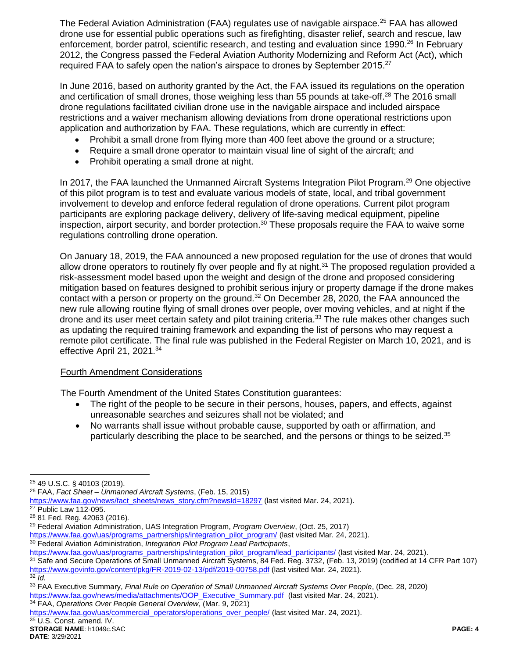The Federal Aviation Administration (FAA) regulates use of navigable airspace.<sup>25</sup> FAA has allowed drone use for essential public operations such as firefighting, disaster relief, search and rescue, law enforcement, border patrol, scientific research, and testing and evaluation since 1990.<sup>26</sup> In February 2012, the Congress passed the Federal Aviation Authority Modernizing and Reform Act (Act), which required FAA to safely open the nation's airspace to drones by September 2015.<sup>27</sup>

In June 2016, based on authority granted by the Act, the FAA issued its regulations on the operation and certification of small drones, those weighing less than 55 pounds at take-off.<sup>28</sup> The 2016 small drone regulations facilitated civilian drone use in the navigable airspace and included airspace restrictions and a waiver mechanism allowing deviations from drone operational restrictions upon application and authorization by FAA. These regulations, which are currently in effect:

- Prohibit a small drone from flying more than 400 feet above the ground or a structure;
- Require a small drone operator to maintain visual line of sight of the aircraft; and
- Prohibit operating a small drone at night.

In 2017, the FAA launched the Unmanned Aircraft Systems Integration Pilot Program.<sup>29</sup> One objective of this pilot program is to test and evaluate various models of state, local, and tribal government involvement to develop and enforce federal regulation of drone operations. Current pilot program participants are exploring package delivery, delivery of life-saving medical equipment, pipeline inspection, airport security, and border protection.<sup>30</sup> These proposals require the FAA to waive some regulations controlling drone operation.

On January 18, 2019, the FAA announced a new proposed regulation for the use of drones that would allow drone operators to routinely fly over people and fly at night.<sup>31</sup> The proposed regulation provided a risk-assessment model based upon the weight and design of the drone and proposed considering mitigation based on features designed to prohibit serious injury or property damage if the drone makes contact with a person or property on the ground.<sup>32</sup> On December 28, 2020, the FAA announced the new rule allowing routine flying of small drones over people, over moving vehicles, and at night if the drone and its user meet certain safety and pilot training criteria.<sup>33</sup> The rule makes other changes such as updating the required training framework and expanding the list of persons who may request a remote pilot certificate. The final rule was published in the Federal Register on March 10, 2021, and is effective April 21, 2021.<sup>34</sup>

### Fourth Amendment Considerations

The Fourth Amendment of the United States Constitution guarantees:

- The right of the people to be secure in their persons, houses, papers, and effects, against unreasonable searches and seizures shall not be violated; and
- No warrants shall issue without probable cause, supported by oath or affirmation, and particularly describing the place to be searched, and the persons or things to be seized.<sup>35</sup>

 $\overline{a}$ 

<sup>25</sup> 49 U.S.C. § 40103 (2019).

<sup>26</sup> FAA, *Fact Sheet – Unmanned Aircraft Systems*, (Feb. 15, 2015)

[https://www.faa.gov/news/fact\\_sheets/news\\_story.cfm?newsId=18297](https://www.faa.gov/news/fact_sheets/news_story.cfm?newsId=18297) (last visited Mar. 24, 2021).

<sup>27</sup> Public Law 112-095.

<sup>28</sup> 81 Fed. Reg. 42063 (2016)*.*

<sup>29</sup> Federal Aviation Administration, UAS Integration Program, *Program Overview*, (Oct. 25, 2017)

[https://www.faa.gov/uas/programs\\_partnerships/integration\\_pilot\\_program/](https://www.faa.gov/uas/programs_partnerships/integration_pilot_program/) (last visited Mar. 24, 2021).

<sup>30</sup> Federal Aviation Administration, *Integration Pilot Program Lead Participants*,

[https://www.faa.gov/uas/programs\\_partnerships/integration\\_pilot\\_program/lead\\_participants/](https://www.faa.gov/uas/programs_partnerships/integration_pilot_program/lead_participants/) (last visited Mar. 24, 2021).

<sup>31</sup> Safe and Secure Operations of Small Unmanned Aircraft Systems, 84 Fed. Reg. 3732, (Feb. 13, 2019) (codified at 14 CFR Part 107) <https://www.govinfo.gov/content/pkg/FR-2019-02-13/pdf/2019-00758.pdf> (last visited Mar. 24, 2021).  $\overline{\frac{32}{}}$  *Id.* 

<sup>33</sup> FAA Executive Summary, *Final Rule on Operation of Small Unmanned Aircraft Systems Over People*, (Dec. 28, 2020) [https://www.faa.gov/news/media/attachments/OOP\\_Executive\\_Summary.pdf](https://www.faa.gov/news/media/attachments/OOP_Executive_Summary.pdf) (last visited Mar. 24, 2021).

<sup>34</sup> FAA, *Operations Over People General Overview*, (Mar. 9, 2021)

[https://www.faa.gov/uas/commercial\\_operators/operations\\_over\\_people/](https://www.faa.gov/uas/commercial_operators/operations_over_people/) (last visited Mar. 24, 2021).

 $35$  U.S. Const. amend. IV.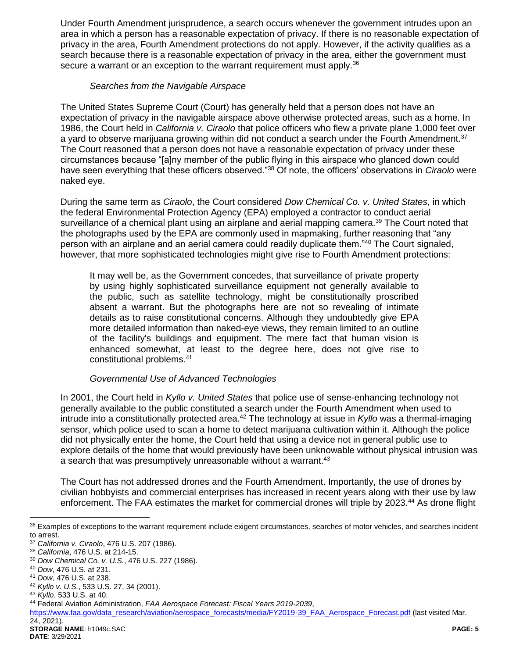Under Fourth Amendment jurisprudence, a search occurs whenever the government intrudes upon an area in which a person has a reasonable expectation of privacy. If there is no reasonable expectation of privacy in the area, Fourth Amendment protections do not apply. However, if the activity qualifies as a search because there is a reasonable expectation of privacy in the area, either the government must secure a warrant or an exception to the warrant requirement must apply.<sup>36</sup>

### *Searches from the Navigable Airspace*

The United States Supreme Court (Court) has generally held that a person does not have an expectation of privacy in the navigable airspace above otherwise protected areas, such as a home. In 1986, the Court held in *California v. Ciraolo* that police officers who flew a private plane 1,000 feet over a yard to observe marijuana growing within did not conduct a search under the Fourth Amendment.<sup>37</sup> The Court reasoned that a person does not have a reasonable expectation of privacy under these circumstances because "[a]ny member of the public flying in this airspace who glanced down could have seen everything that these officers observed."<sup>38</sup> Of note, the officers' observations in *Ciraolo* were naked eye.

During the same term as *Ciraolo*, the Court considered *Dow Chemical Co. v. United States*, in which the federal Environmental Protection Agency (EPA) employed a contractor to conduct aerial surveillance of a chemical plant using an airplane and aerial mapping camera.<sup>39</sup> The Court noted that the photographs used by the EPA are commonly used in mapmaking, further reasoning that "any person with an airplane and an aerial camera could readily duplicate them."<sup>40</sup> The Court signaled, however, that more sophisticated technologies might give rise to Fourth Amendment protections:

It may well be, as the Government concedes, that surveillance of private property by using highly sophisticated surveillance equipment not generally available to the public, such as satellite technology, might be constitutionally proscribed absent a warrant. But the photographs here are not so revealing of intimate details as to raise constitutional concerns. Although they undoubtedly give EPA more detailed information than naked-eye views, they remain limited to an outline of the facility's buildings and equipment. The mere fact that human vision is enhanced somewhat, at least to the degree here, does not give rise to constitutional problems.<sup>41</sup>

### *Governmental Use of Advanced Technologies*

In 2001, the Court held in *Kyllo v. United States* that police use of sense-enhancing technology not generally available to the public constituted a search under the Fourth Amendment when used to intrude into a constitutionally protected area.<sup>42</sup> The technology at issue in *Kyllo* was a thermal-imaging sensor, which police used to scan a home to detect marijuana cultivation within it. Although the police did not physically enter the home, the Court held that using a device not in general public use to explore details of the home that would previously have been unknowable without physical intrusion was a search that was presumptively unreasonable without a warrant.<sup>43</sup>

The Court has not addressed drones and the Fourth Amendment. Importantly, the use of drones by civilian hobbyists and commercial enterprises has increased in recent years along with their use by law enforcement. The FAA estimates the market for commercial drones will triple by 2023.<sup>44</sup> As drone flight

 $\overline{a}$ 

[https://www.faa.gov/data\\_research/aviation/aerospace\\_forecasts/media/FY2019-39\\_FAA\\_Aerospace\\_Forecast.pdf](https://www.faa.gov/data_research/aviation/aerospace_forecasts/media/FY2019-39_FAA_Aerospace_Forecast.pdf) (last visited Mar. 24, 2021).

<sup>&</sup>lt;sup>36</sup> Examples of exceptions to the warrant requirement include exigent circumstances, searches of motor vehicles, and searches incident to arrest.

<sup>37</sup> *California v. Ciraolo*, 476 U.S. 207 (1986).

<sup>38</sup> *California*, 476 U.S. at 214-15.

<sup>39</sup> *Dow Chemical Co. v. U.S.*, 476 U.S. 227 (1986).

<sup>40</sup> *Dow*, 476 U.S. at 231.

<sup>41</sup> *Dow*, 476 U.S. at 238.

<sup>42</sup> *Kyllo v. U.S.*, 533 U.S. 27, 34 (2001).

<sup>43</sup> *Kyllo*, 533 U.S. at 40.

<sup>44</sup> Federal Aviation Administration, *FAA Aerospace Forecast: Fiscal Years 2019-2039*,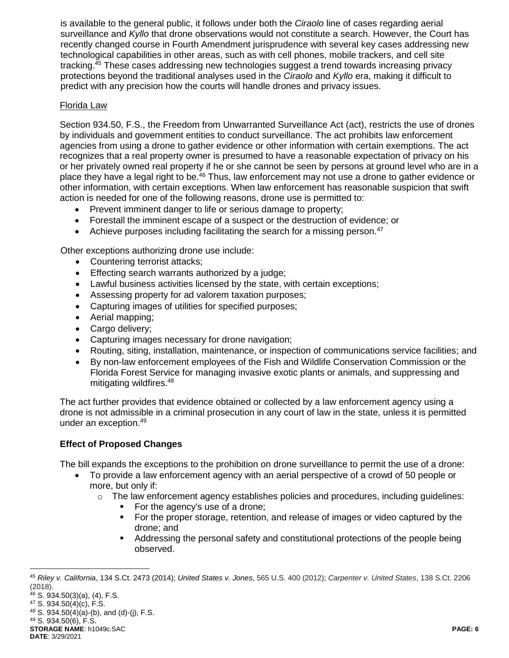is available to the general public, it follows under both the *Ciraolo* line of cases regarding aerial surveillance and *Kyllo* that drone observations would not constitute a search. However, the Court has recently changed course in Fourth Amendment jurisprudence with several key cases addressing new technological capabilities in other areas, such as with cell phones, mobile trackers, and cell site tracking.<sup>45</sup> These cases addressing new technologies suggest a trend towards increasing privacy protections beyond the traditional analyses used in the *Ciraolo* and *Kyllo* era, making it difficult to predict with any precision how the courts will handle drones and privacy issues.

### Florida Law

Section 934.50, F.S., the Freedom from Unwarranted Surveillance Act (act), restricts the use of drones by individuals and government entities to conduct surveillance. The act prohibits law enforcement agencies from using a drone to gather evidence or other information with certain exemptions. The act recognizes that a real property owner is presumed to have a reasonable expectation of privacy on his or her privately owned real property if he or she cannot be seen by persons at ground level who are in a place they have a legal right to be.<sup>46</sup> Thus, law enforcement may not use a drone to gather evidence or other information, with certain exceptions. When law enforcement has reasonable suspicion that swift action is needed for one of the following reasons, drone use is permitted to:

- Prevent imminent danger to life or serious damage to property;
- Forestall the imminent escape of a suspect or the destruction of evidence; or
- Achieve purposes including facilitating the search for a missing person.<sup>47</sup>

Other exceptions authorizing drone use include:

- Countering terrorist attacks;
- **Effecting search warrants authorized by a judge;**
- Lawful business activities licensed by the state, with certain exceptions;
- Assessing property for ad valorem taxation purposes;
- Capturing images of utilities for specified purposes;
- Aerial mapping;
- Cargo delivery;
- Capturing images necessary for drone navigation;
- Routing, siting, installation, maintenance, or inspection of communications service facilities; and
- By non-law enforcement employees of the Fish and Wildlife Conservation Commission or the Florida Forest Service for managing invasive exotic plants or animals, and suppressing and mitigating wildfires. 48

The act further provides that evidence obtained or collected by a law enforcement agency using a drone is not admissible in a criminal prosecution in any court of law in the state, unless it is permitted under an exception.<sup>49</sup>

# **Effect of Proposed Changes**

The bill expands the exceptions to the prohibition on drone surveillance to permit the use of a drone:

- To provide a law enforcement agency with an aerial perspective of a crowd of 50 people or more, but only if:
	- $\circ$  The law enforcement agency establishes policies and procedures, including guidelines:
		- For the agency's use of a drone;
		- For the proper storage, retention, and release of images or video captured by the drone; and
		- Addressing the personal safety and constitutional protections of the people being observed.

 $\overline{a}$ 

<sup>45</sup> *Riley v. California*, 134 S.Ct. 2473 (2014); *United States v. Jones*, 565 U.S. 400 (2012); *Carpenter v. United States*, 138 S.Ct. 2206 (2018).

<sup>46</sup> S. 934.50(3)(a), (4), F.S.

<sup>47</sup> S. 934.50(4)(c), F.S.  $48$  S. 934.50(4)(a)-(b), and (d)-(j), F.S.

<sup>49</sup> S. 934.50(6), F.S.

**STORAGE NAME**: h1049c.SAC **PAGE: 6**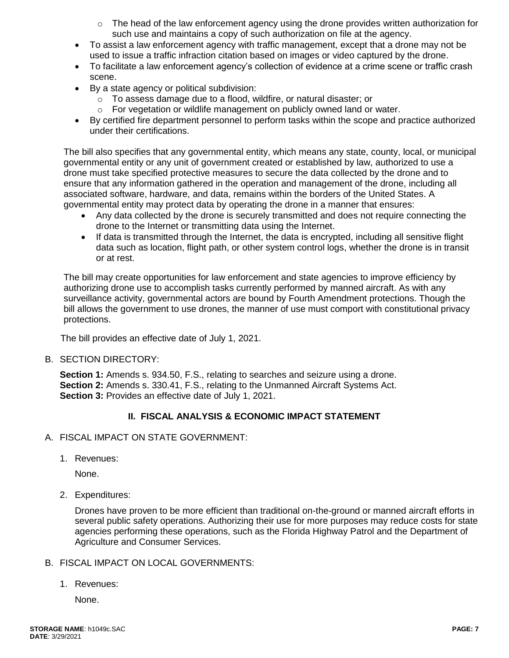- o The head of the law enforcement agency using the drone provides written authorization for such use and maintains a copy of such authorization on file at the agency.
- To assist a law enforcement agency with traffic management, except that a drone may not be used to issue a traffic infraction citation based on images or video captured by the drone.
- To facilitate a law enforcement agency's collection of evidence at a crime scene or traffic crash scene.
- By a state agency or political subdivision:
	- o To assess damage due to a flood, wildfire, or natural disaster; or
	- o For vegetation or wildlife management on publicly owned land or water.
- By certified fire department personnel to perform tasks within the scope and practice authorized under their certifications.

The bill also specifies that any governmental entity, which means any state, county, local, or municipal governmental entity or any unit of government created or established by law, authorized to use a drone must take specified protective measures to secure the data collected by the drone and to ensure that any information gathered in the operation and management of the drone, including all associated software, hardware, and data, remains within the borders of the United States. A governmental entity may protect data by operating the drone in a manner that ensures:

- Any data collected by the drone is securely transmitted and does not require connecting the drone to the Internet or transmitting data using the Internet.
- If data is transmitted through the Internet, the data is encrypted, including all sensitive flight data such as location, flight path, or other system control logs, whether the drone is in transit or at rest.

The bill may create opportunities for law enforcement and state agencies to improve efficiency by authorizing drone use to accomplish tasks currently performed by manned aircraft. As with any surveillance activity, governmental actors are bound by Fourth Amendment protections. Though the bill allows the government to use drones, the manner of use must comport with constitutional privacy protections.

The bill provides an effective date of July 1, 2021.

B. SECTION DIRECTORY:

**Section 1:** Amends s. 934.50, F.S., relating to searches and seizure using a drone. **Section 2:** Amends s. 330.41, F.S., relating to the Unmanned Aircraft Systems Act. **Section 3:** Provides an effective date of July 1, 2021.

# **II. FISCAL ANALYSIS & ECONOMIC IMPACT STATEMENT**

- A. FISCAL IMPACT ON STATE GOVERNMENT:
	- 1. Revenues:

None.

2. Expenditures:

Drones have proven to be more efficient than traditional on-the-ground or manned aircraft efforts in several public safety operations. Authorizing their use for more purposes may reduce costs for state agencies performing these operations, such as the Florida Highway Patrol and the Department of Agriculture and Consumer Services.

#### B. FISCAL IMPACT ON LOCAL GOVERNMENTS:

1. Revenues:

None.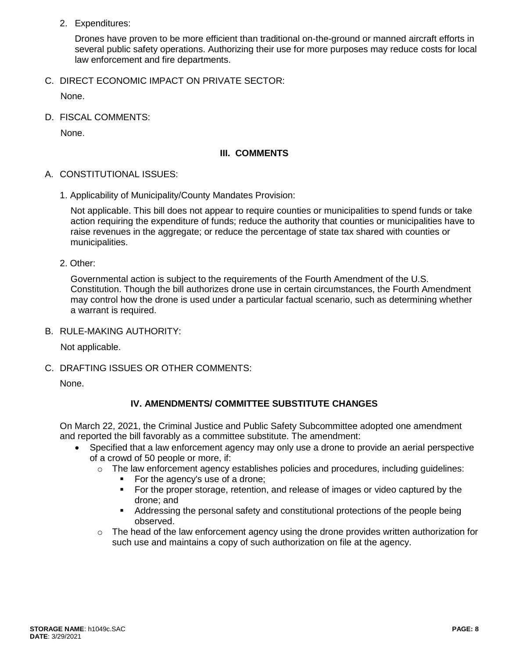2. Expenditures:

Drones have proven to be more efficient than traditional on-the-ground or manned aircraft efforts in several public safety operations. Authorizing their use for more purposes may reduce costs for local law enforcement and fire departments.

C. DIRECT ECONOMIC IMPACT ON PRIVATE SECTOR:

None.

D. FISCAL COMMENTS:

None.

## **III. COMMENTS**

- A. CONSTITUTIONAL ISSUES:
	- 1. Applicability of Municipality/County Mandates Provision:

Not applicable. This bill does not appear to require counties or municipalities to spend funds or take action requiring the expenditure of funds; reduce the authority that counties or municipalities have to raise revenues in the aggregate; or reduce the percentage of state tax shared with counties or municipalities.

2. Other:

Governmental action is subject to the requirements of the Fourth Amendment of the U.S. Constitution. Though the bill authorizes drone use in certain circumstances, the Fourth Amendment may control how the drone is used under a particular factual scenario, such as determining whether a warrant is required.

B. RULE-MAKING AUTHORITY:

Not applicable.

C. DRAFTING ISSUES OR OTHER COMMENTS:

None.

# **IV. AMENDMENTS/ COMMITTEE SUBSTITUTE CHANGES**

On March 22, 2021, the Criminal Justice and Public Safety Subcommittee adopted one amendment and reported the bill favorably as a committee substitute. The amendment:

- Specified that a law enforcement agency may only use a drone to provide an aerial perspective of a crowd of 50 people or more, if:
	- $\circ$  The law enforcement agency establishes policies and procedures, including quidelines:
		- For the agency's use of a drone;
		- For the proper storage, retention, and release of images or video captured by the drone; and
		- Addressing the personal safety and constitutional protections of the people being observed.
	- $\circ$  The head of the law enforcement agency using the drone provides written authorization for such use and maintains a copy of such authorization on file at the agency.